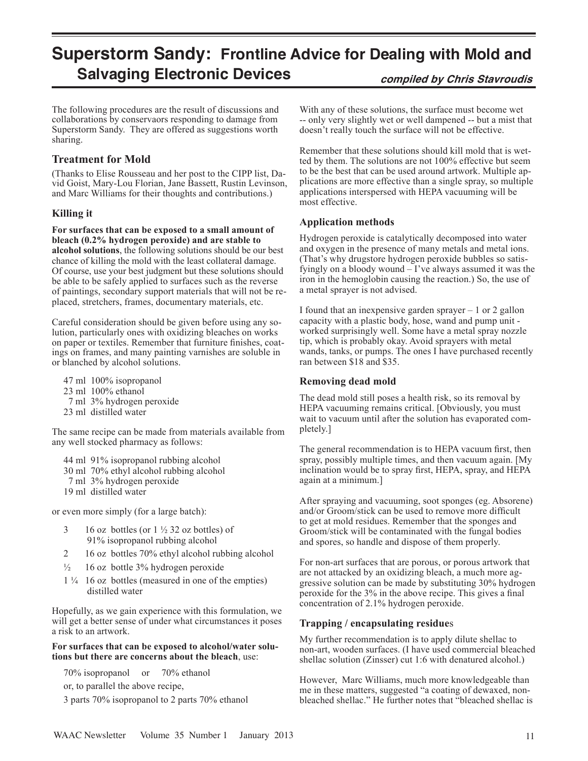# **Superstorm Sandy: Frontline Advice for Dealing with Mold and Salvaging Electronic Devices compiled by Chris Stavroudis**

The following procedures are the result of discussions and collaborations by conservaors responding to damage from Superstorm Sandy. They are offered as suggestions worth sharing.

## **Treatment for Mold**

(Thanks to Elise Rousseau and her post to the CIPP list, David Goist, Mary-Lou Florian, Jane Bassett, Rustin Levinson, and Marc Williams for their thoughts and contributions.)

## **Killing it**

**For surfaces that can be exposed to a small amount of bleach (0.2% hydrogen peroxide) and are stable to alcohol solutions**, the following solutions should be our best chance of killing the mold with the least collateral damage. Of course, use your best judgment but these solutions should be able to be safely applied to surfaces such as the reverse of paintings, secondary support materials that will not be replaced, stretchers, frames, documentary materials, etc.

Careful consideration should be given before using any solution, particularly ones with oxidizing bleaches on works on paper or textiles. Remember that furniture finishes, coatings on frames, and many painting varnishes are soluble in or blanched by alcohol solutions.

- 47 ml 100% isopropanol
- 23 ml 100% ethanol
- 7 ml 3% hydrogen peroxide
- 23 ml distilled water

The same recipe can be made from materials available from any well stocked pharmacy as follows:

- 44 ml 91% isopropanol rubbing alcohol
- 30 ml 70% ethyl alcohol rubbing alcohol
- 7 ml 3% hydrogen peroxide
- 19 ml distilled water

or even more simply (for a large batch):

- 3 16 oz bottles (or  $1\frac{1}{2}$  32 oz bottles) of 91% isopropanol rubbing alcohol
- 2 16 oz bottles 70% ethyl alcohol rubbing alcohol
- $\frac{1}{2}$  16 oz bottle 3% hydrogen peroxide
- 1 ¼ 16 oz bottles (measured in one of the empties) distilled water

Hopefully, as we gain experience with this formulation, we will get a better sense of under what circumstances it poses a risk to an artwork.

#### **For surfaces that can be exposed to alcohol/water solutions but there are concerns about the bleach**, use:

 70% isopropanol or 70% ethanol or, to parallel the above recipe,

3 parts 70% isopropanol to 2 parts 70% ethanol

With any of these solutions, the surface must become wet -- only very slightly wet or well dampened -- but a mist that doesn't really touch the surface will not be effective.

Remember that these solutions should kill mold that is wetted by them. The solutions are not 100% effective but seem to be the best that can be used around artwork. Multiple applications are more effective than a single spray, so multiple applications interspersed with HEPA vacuuming will be most effective.

## **Application methods**

Hydrogen peroxide is catalytically decomposed into water and oxygen in the presence of many metals and metal ions. (That's why drugstore hydrogen peroxide bubbles so satisfyingly on a bloody wound – I've always assumed it was the iron in the hemoglobin causing the reaction.) So, the use of a metal sprayer is not advised.

I found that an inexpensive garden sprayer – 1 or 2 gallon capacity with a plastic body, hose, wand and pump unit worked surprisingly well. Some have a metal spray nozzle tip, which is probably okay. Avoid sprayers with metal wands, tanks, or pumps. The ones I have purchased recently ran between \$18 and \$35.

### **Removing dead mold**

The dead mold still poses a health risk, so its removal by HEPA vacuuming remains critical. [Obviously, you must wait to vacuum until after the solution has evaporated completely.]

The general recommendation is to HEPA vacuum first, then spray, possibly multiple times, and then vacuum again. [My inclination would be to spray first, HEPA, spray, and HEPA again at a minimum.]

After spraying and vacuuming, soot sponges (eg. Absorene) and/or Groom/stick can be used to remove more difficult to get at mold residues. Remember that the sponges and Groom/stick will be contaminated with the fungal bodies and spores, so handle and dispose of them properly.

For non-art surfaces that are porous, or porous artwork that are not attacked by an oxidizing bleach, a much more aggressive solution can be made by substituting 30% hydrogen peroxide for the 3% in the above recipe. This gives a final concentration of 2.1% hydrogen peroxide.

## **Trapping / encapsulating residue**s

My further recommendation is to apply dilute shellac to non-art, wooden surfaces. (I have used commercial bleached shellac solution (Zinsser) cut 1:6 with denatured alcohol.)

However, Marc Williams, much more knowledgeable than me in these matters, suggested "a coating of dewaxed, nonbleached shellac." He further notes that "bleached shellac is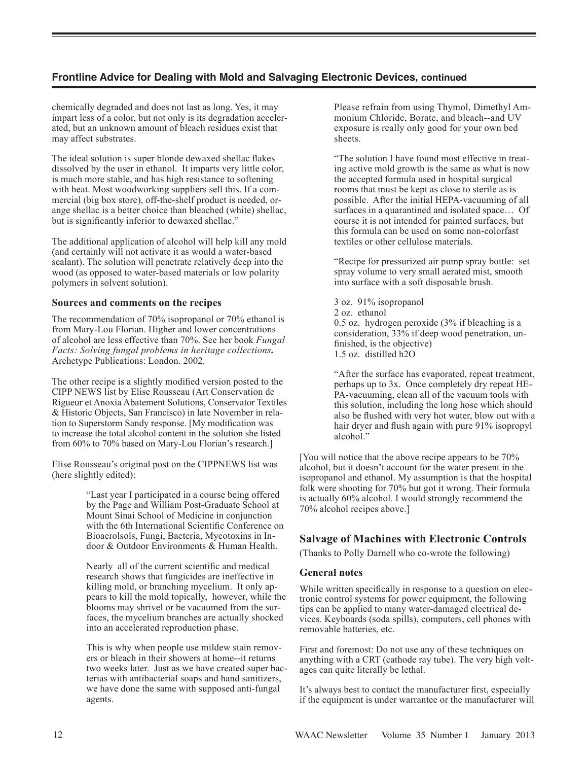## **Frontline Advice for Dealing with Mold and Salvaging Electronic Devices, continued**

chemically degraded and does not last as long. Yes, it may impart less of a color, but not only is its degradation accelerated, but an unknown amount of bleach residues exist that may affect substrates.

The ideal solution is super blonde dewaxed shellac flakes dissolved by the user in ethanol. It imparts very little color, is much more stable, and has high resistance to softening with heat. Most woodworking suppliers sell this. If a commercial (big box store), off-the-shelf product is needed, orange shellac is a better choice than bleached (white) shellac, but is significantly inferior to dewaxed shellac."

The additional application of alcohol will help kill any mold (and certainly will not activate it as would a water-based sealant). The solution will penetrate relatively deep into the wood (as opposed to water-based materials or low polarity polymers in solvent solution).

### **Sources and comments on the recipes**

The recommendation of 70% isopropanol or 70% ethanol is from Mary-Lou Florian. Higher and lower concentrations of alcohol are less effective than 70%. See her book *Fungal Facts: Solving fungal problems in heritage collections.*  Archetype Publications: London. 2002.

The other recipe is a slightly modified version posted to the CIPP NEWS list by Elise Rousseau (Art Conservation de Rigueur et Anoxia Abatement Solutions, Conservator Textiles & Historic Objects, San Francisco) in late November in relation to Superstorm Sandy response. [My modification was to increase the total alcohol content in the solution she listed from 60% to 70% based on Mary-Lou Florian's research.]

Elise Rousseau's original post on the CIPPNEWS list was (here slightly edited):

> "Last year I participated in a course being offered by the Page and William Post-Graduate School at Mount Sinai School of Medicine in conjunction with the 6th International Scientific Conference on Bioaerolsols, Fungi, Bacteria, Mycotoxins in Indoor & Outdoor Environments & Human Health.

> Nearly all of the current scientific and medical research shows that fungicides are ineffective in killing mold, or branching mycelium. It only appears to kill the mold topically, however, while the blooms may shrivel or be vacuumed from the surfaces, the mycelium branches are actually shocked into an accelerated reproduction phase.

> This is why when people use mildew stain removers or bleach in their showers at home--it returns two weeks later. Just as we have created super bacterias with antibacterial soaps and hand sanitizers, we have done the same with supposed anti-fungal agents.

Please refrain from using Thymol, Dimethyl Ammonium Chloride, Borate, and bleach--and UV exposure is really only good for your own bed sheets.

"The solution I have found most effective in treating active mold growth is the same as what is now the accepted formula used in hospital surgical rooms that must be kept as close to sterile as is possible. After the initial HEPA-vacuuming of all surfaces in a quarantined and isolated space… Of course it is not intended for painted surfaces, but this formula can be used on some non-colorfast textiles or other cellulose materials.

"Recipe for pressurized air pump spray bottle: set spray volume to very small aerated mist, smooth into surface with a soft disposable brush.

3 oz. 91% isopropanol 2 oz. ethanol 0.5 oz. hydrogen peroxide (3% if bleaching is a consideration, 33% if deep wood penetration, unfinished, is the objective) 1.5 oz. distilled h2O

"After the surface has evaporated, repeat treatment, perhaps up to 3x. Once completely dry repeat HE-PA-vacuuming, clean all of the vacuum tools with this solution, including the long hose which should also be flushed with very hot water, blow out with a hair dryer and flush again with pure 91% isopropyl alcohol."

[You will notice that the above recipe appears to be 70% alcohol, but it doesn't account for the water present in the isopropanol and ethanol. My assumption is that the hospital folk were shooting for 70% but got it wrong. Their formula is actually 60% alcohol. I would strongly recommend the 70% alcohol recipes above.]

# **Salvage of Machines with Electronic Controls**

(Thanks to Polly Darnell who co-wrote the following)

### **General notes**

While written specifically in response to a question on electronic control systems for power equipment, the following tips can be applied to many water-damaged electrical devices. Keyboards (soda spills), computers, cell phones with removable batteries, etc.

First and foremost: Do not use any of these techniques on anything with a CRT (cathode ray tube). The very high voltages can quite literally be lethal.

It's always best to contact the manufacturer first, especially if the equipment is under warrantee or the manufacturer will